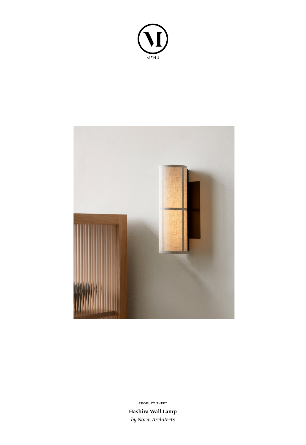



**Hashira Wall Lamp** *by Norm Architects* **PRODUCT SHEET**